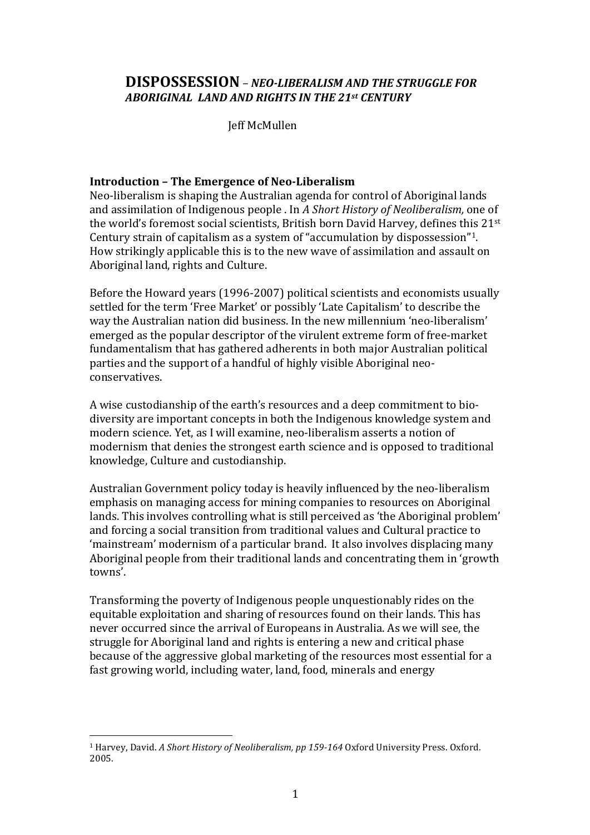# **DISPOSSESSION** - NEO-LIBERALISM AND THE STRUGGLE FOR **ABORIGINAL LAND AND RIGHTS IN THE 21st CENTURY**

**Jeff McMullen** 

# **Introduction - The Emergence of Neo-Liberalism**

Neo-liberalism is shaping the Australian agenda for control of Aboriginal lands and assimilation of Indigenous people . In A Short History of Neoliberalism, one of the world's foremost social scientists, British born David Harvey, defines this 21st Century strain of capitalism as a system of "accumulation by dispossession"<sup>1</sup>. How strikingly applicable this is to the new wave of assimilation and assault on Aboriginal land, rights and Culture.

Before the Howard years (1996-2007) political scientists and economists usually settled for the term 'Free Market' or possibly 'Late Capitalism' to describe the way the Australian nation did business. In the new millennium 'neo-liberalism' emerged as the popular descriptor of the virulent extreme form of free-market fundamentalism that has gathered adherents in both major Australian political parties and the support of a handful of highly visible Aboriginal neoconservatives.

A wise custodianship of the earth's resources and a deep commitment to biodiversity are important concepts in both the Indigenous knowledge system and modern science. Yet, as I will examine, neo-liberalism asserts a notion of modernism that denies the strongest earth science and is opposed to traditional knowledge, Culture and custodianship.

Australian Government policy today is heavily influenced by the neo-liberalism emphasis on managing access for mining companies to resources on Aboriginal lands. This involves controlling what is still perceived as 'the Aboriginal problem' and forcing a social transition from traditional values and Cultural practice to 'mainstream' modernism of a particular brand. It also involves displacing many Aboriginal people from their traditional lands and concentrating them in 'growth towns'.

Transforming the poverty of Indigenous people unquestionably rides on the equitable exploitation and sharing of resources found on their lands. This has never occurred since the arrival of Europeans in Australia. As we will see, the struggle for Aboriginal land and rights is entering a new and critical phase because of the aggressive global marketing of the resources most essential for a fast growing world, including water, land, food, minerals and energy

<sup>&</sup>lt;sup>1</sup> Harvey, David. A Short History of Neoliberalism, pp 159-164 Oxford University Press. Oxford. 2005.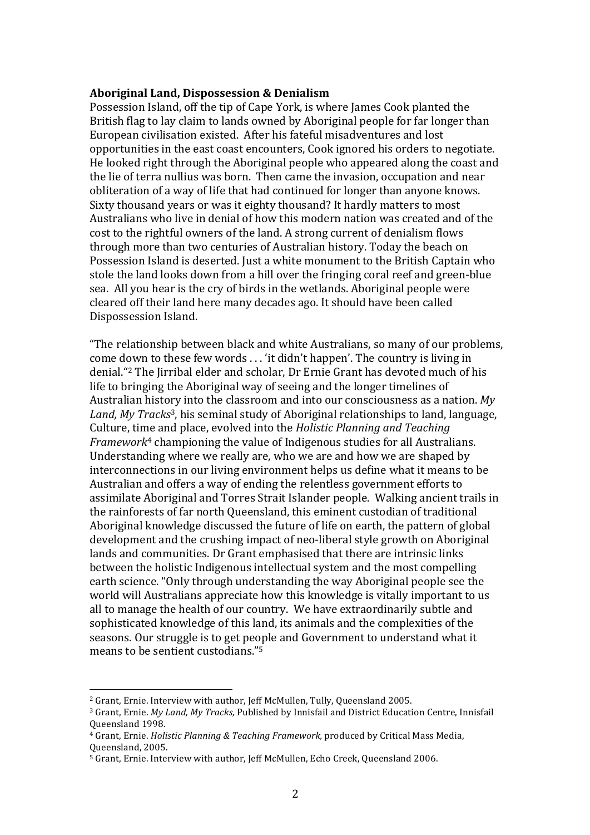#### Aboriginal Land, Dispossession & Denialism

Possession Island, off the tip of Cape York, is where James Cook planted the British flag to lay claim to lands owned by Aboriginal people for far longer than European civilisation existed. After his fateful misadventures and lost opportunities in the east coast encounters, Cook ignored his orders to negotiate. He looked right through the Aboriginal people who appeared along the coast and the lie of terra nullius was born. Then came the invasion, occupation and near obliteration of a way of life that had continued for longer than anyone knows. Sixty thousand years or was it eighty thousand? It hardly matters to most Australians who live in denial of how this modern nation was created and of the cost to the rightful owners of the land. A strong current of denialism flows through more than two centuries of Australian history. Today the beach on Possession Island is deserted. Just a white monument to the British Captain who stole the land looks down from a hill over the fringing coral reef and green-blue sea. All you hear is the cry of birds in the wetlands. Aboriginal people were cleared off their land here many decades ago. It should have been called Dispossession Island.

"The relationship between black and white Australians, so many of our problems, come down to these few words  $\ldots$  'it didn't happen'. The country is living in denial."<sup>2</sup> The Jirribal elder and scholar, Dr Ernie Grant has devoted much of his life to bringing the Aboriginal way of seeing and the longer timelines of Australian history into the classroom and into our consciousness as a nation. *My Land, My Tracks*<sup>3</sup>, his seminal study of Aboriginal relationships to land, language, Culture, time and place, evolved into the *Holistic Planning and Teaching*  $Framework<sup>4</sup>$  championing the value of Indigenous studies for all Australians. Understanding where we really are, who we are and how we are shaped by interconnections in our living environment helps us define what it means to be Australian and offers a way of ending the relentless government efforts to assimilate Aboriginal and Torres Strait Islander people. Walking ancient trails in the rainforests of far north Queensland, this eminent custodian of traditional Aboriginal knowledge discussed the future of life on earth, the pattern of global development and the crushing impact of neo-liberal style growth on Aboriginal lands and communities. Dr Grant emphasised that there are intrinsic links between the holistic Indigenous intellectual system and the most compelling earth science. "Only through understanding the way Aboriginal people see the world will Australians appreciate how this knowledge is vitally important to us all to manage the health of our country. We have extraordinarily subtle and sophisticated knowledge of this land, its animals and the complexities of the seasons. Our struggle is to get people and Government to understand what it means to be sentient custodians."<sup>5</sup>

<sup>&</sup>lt;sup>2</sup> Grant, Ernie. Interview with author, Jeff McMullen, Tully, Queensland 2005.

<sup>&</sup>lt;sup>3</sup> Grant, Ernie. *My Land, My Tracks*, Published by Innisfail and District Education Centre, Innisfail Queensland!1998.

<sup>&</sup>lt;sup>4</sup> Grant, Ernie. *Holistic Planning & Teaching Framework*, produced by Critical Mass Media, Oueensland, 2005.

<sup>&</sup>lt;sup>5</sup> Grant, Ernie. Interview with author, Jeff McMullen, Echo Creek, Queensland 2006.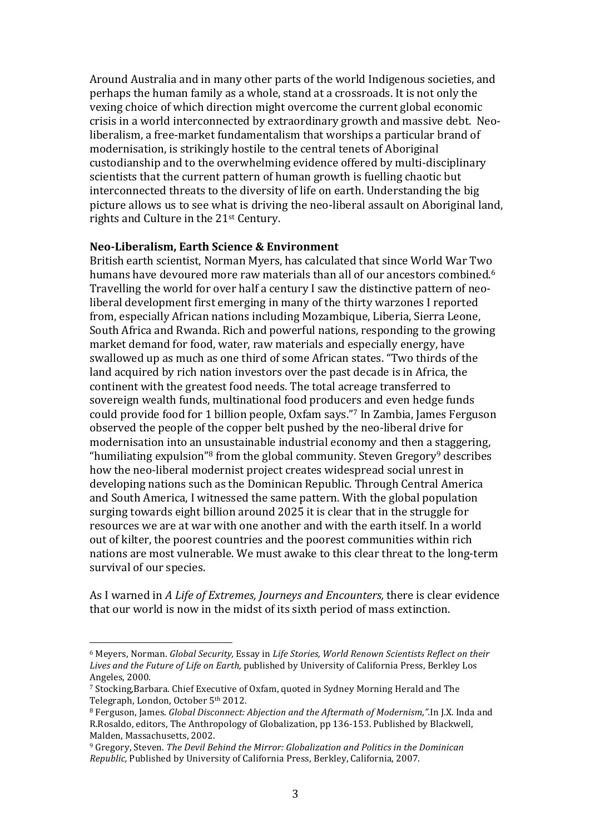Around Australia and in many other parts of the world Indigenous societies, and perhaps the human family as a whole, stand at a crossroads. It is not only the vexing choice of which direction might overcome the current global economic crisis in a world interconnected by extraordinary growth and massive debt. Neoliberalism, a free-market fundamentalism that worships a particular brand of modernisation, is strikingly hostile to the central tenets of Aboriginal custodianship and to the overwhelming evidence offered by multi-disciplinary scientists that the current pattern of human growth is fuelling chaotic but interconnected threats to the diversity of life on earth. Understanding the big picture allows us to see what is driving the neo-liberal assault on Aboriginal land, rights and Culture in the 21st Century.

#### Neo-Liberalism, Earth Science & Environment

British earth scientist, Norman Myers, has calculated that since World War Two humans have devoured more raw materials than all of our ancestors combined.<sup>6</sup> Travelling the world for over half a century I saw the distinctive pattern of neoliberal development first emerging in many of the thirty warzones I reported from, especially African nations including Mozambique, Liberia, Sierra Leone, South Africa and Rwanda. Rich and powerful nations, responding to the growing market demand for food, water, raw materials and especially energy, have swallowed up as much as one third of some African states. "Two thirds of the land acquired by rich nation investors over the past decade is in Africa, the continent with the greatest food needs. The total acreage transferred to sovereign wealth funds, multinational food producers and even hedge funds could provide food for 1 billion people, Oxfam says."7 In Zambia, James Ferguson observed the people of the copper belt pushed by the neo-liberal drive for modernisation into an unsustainable industrial economy and then a staggering, "humiliating expulsion"<sup>8</sup> from the global community. Steven Gregory<sup>9</sup> describes how the neo-liberal modernist project creates widespread social unrest in developing nations such as the Dominican Republic. Through Central America and South America, I witnessed the same pattern. With the global population surging towards eight billion around 2025 it is clear that in the struggle for resources we are at war with one another and with the earth itself. In a world out of kilter, the poorest countries and the poorest communities within rich nations are most vulnerable. We must awake to this clear threat to the long-term survival of our species.

As I warned in *A Life of Extremes, Journeys and Encounters*, there is clear evidence that our world is now in the midst of its sixth period of mass extinction.

<sup>&</sup>lt;sup>6</sup> Meyers, Norman. *Global Security, Essay in Life Stories, World Renown Scientists Reflect on their* Lives and the Future of Life on Earth, published by University of California Press, Berkley Los Angeles, 2000.

<sup>&</sup>lt;sup>7</sup> Stocking,Barbara. Chief Executive of Oxfam, quoted in Sydney Morning Herald and The Telegraph, London, October 5<sup>th</sup> 2012.

<sup>8</sup> Ferguson, James. *Global Disconnect: Abjection and the Aftermath of Modernism*,".In J.X. Inda and R.Rosaldo, editors, The Anthropology of Globalization, pp 136-153. Published by Blackwell, Malden, Massachusetts, 2002.

<sup>&</sup>lt;sup>9</sup> Gregory, Steven. *The Devil Behind the Mirror: Globalization and Politics in the Dominican Republic, Published by University of California Press, Berkley, California, 2007.*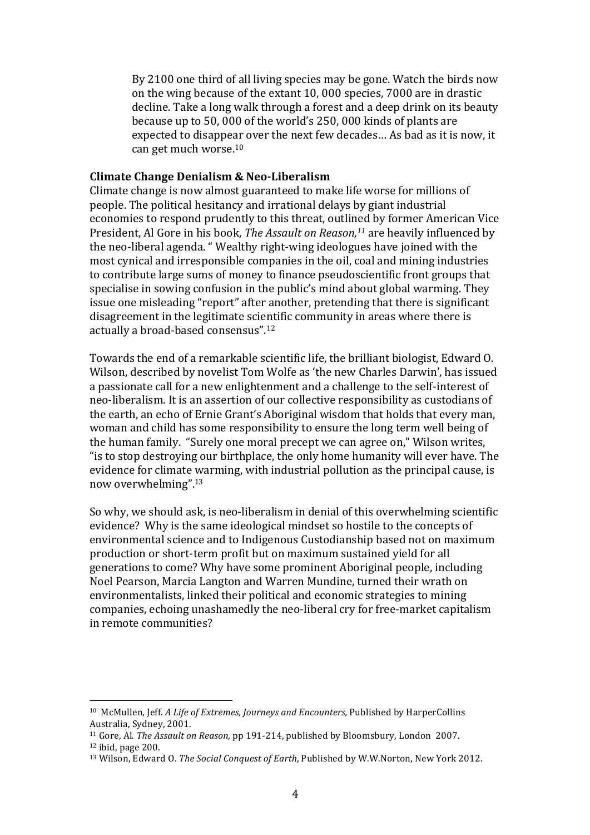By 2100 one third of all living species may be gone. Watch the birds now on the wing because of the extant 10, 000 species, 7000 are in drastic decline. Take a long walk through a forest and a deep drink on its beauty because up to 50, 000 of the world's 250, 000 kinds of plants are expected to disappear over the next few decades... As bad as it is now, it can get much worse.<sup>10</sup>

#### **Climate Change Denialism & Neo-Liberalism**

Climate change is now almost guaranteed to make life worse for millions of people. The political hesitancy and irrational delays by giant industrial economies to respond prudently to this threat, outlined by former American Vice President, Al Gore in his book, *The Assault on Reason*,<sup>11</sup> are heavily influenced by the neo-liberal agenda. " Wealthy right-wing ideologues have joined with the most cynical and irresponsible companies in the oil, coal and mining industries to contribute large sums of money to finance pseudoscientific front groups that specialise in sowing confusion in the public's mind about global warming. They issue one misleading "report" after another, pretending that there is significant disagreement in the legitimate scientific community in areas where there is actually a broad-based consensus".<sup>12</sup>

Towards the end of a remarkable scientific life, the brilliant biologist, Edward O. Wilson, described by novelist Tom Wolfe as 'the new Charles Darwin', has issued a passionate call for a new enlightenment and a challenge to the self-interest of neo-liberalism. It is an assertion of our collective responsibility as custodians of the earth, an echo of Ernie Grant's Aboriginal wisdom that holds that every man, woman and child has some responsibility to ensure the long term well being of the human family. "Surely one moral precept we can agree on," Wilson writes, "is to stop destroving our birthplace, the only home humanity will ever have. The evidence for climate warming, with industrial pollution as the principal cause, is now overwhelming".<sup>13</sup>

So why, we should ask, is neo-liberalism in denial of this overwhelming scientific evidence? Why is the same ideological mindset so hostile to the concepts of environmental science and to Indigenous Custodianship based not on maximum production or short-term profit but on maximum sustained yield for all generations to come? Why have some prominent Aboriginal people, including Noel Pearson, Marcia Langton and Warren Mundine, turned their wrath on environmentalists, linked their political and economic strategies to mining companies, echoing unashamedly the neo-liberal cry for free-market capitalism in remote communities?

<sup>&</sup>lt;sup>10</sup> McMullen, Jeff. *A Life of Extremes, Journeys and Encounters*, Published by HarperCollins Australia, Sydney, 2001.

<sup>&</sup>lt;sup>11</sup> Gore, Al. *The Assault on Reason*, pp 191-214, published by Bloomsbury, London 2007.  $12$  ibid, page 200.

<sup>&</sup>lt;sup>13</sup> Wilson, Edward O. *The Social Conquest of Earth*, Published by W.W.Norton, New York 2012.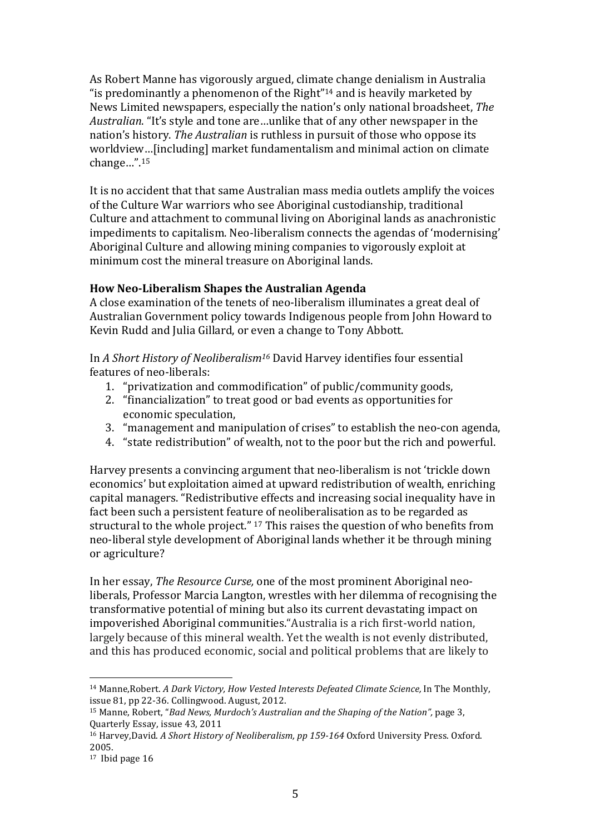As Robert Manne has vigorously argued, climate change denialism in Australia "is predominantly a phenomenon of the Right"<sup>14</sup> and is heavily marketed by News Limited newspapers, especially the nation's only national broadsheet. The *Australian*. "It's style and tone are...unlike that of any other newspaper in the nation's history. *The Australian* is ruthless in pursuit of those who oppose its worldview...[including] market fundamentalism and minimal action on climate change…".15

It is no accident that that same Australian mass media outlets amplify the voices of the Culture War warriors who see Aboriginal custodianship, traditional Culture and attachment to communal living on Aboriginal lands as anachronistic impediments to capitalism. Neo-liberalism connects the agendas of 'modernising' Aboriginal Culture and allowing mining companies to vigorously exploit at minimum cost the mineral treasure on Aboriginal lands.

# **How Neo-Liberalism Shapes the Australian Agenda**

A close examination of the tenets of neo-liberalism illuminates a great deal of Australian Government policy towards Indigenous people from John Howard to Kevin Rudd and Julia Gillard, or even a change to Tony Abbott.

In *A Short History of Neoliberalism<sup>16</sup>* David Harvey identifies four essential features of neo-liberals:

- 1. "privatization and commodification" of public/community goods,
- 2. "financialization" to treat good or bad events as opportunities for economic speculation.
- 3. "management and manipulation of crises" to establish the neo-con agenda,
- 4. "state redistribution" of wealth, not to the poor but the rich and powerful.

Harvey presents a convincing argument that neo-liberalism is not 'trickle down economics' but exploitation aimed at upward redistribution of wealth, enriching capital managers. "Redistributive effects and increasing social inequality have in fact been such a persistent feature of neoliberalisation as to be regarded as structural to the whole project."  $17$  This raises the question of who benefits from neo-liberal style development of Aboriginal lands whether it be through mining or agriculture?

In her essay, *The Resource Curse*, one of the most prominent Aboriginal neoliberals, Professor Marcia Langton, wrestles with her dilemma of recognising the transformative potential of mining but also its current devastating impact on impoverished Aboriginal communities."Australia is a rich first-world nation, largely because of this mineral wealth. Yet the wealth is not evenly distributed, and this has produced economic, social and political problems that are likely to

<sup>&</sup>lt;sup>14</sup> Manne,Robert. *A Dark Victory, How Vested Interests Defeated Climate Science, In The Monthly,* issue  $81$ , pp  $22-36$ . Collingwood. August,  $2012$ .

<sup>&</sup>lt;sup>15</sup> Manne, Robert, "*Bad News, Murdoch's Australian and the Shaping of the Nation"*, page 3, Quarterly!Essay,!issue!43,!2011

<sup>&</sup>lt;sup>16</sup> Harvey, David. *A Short History of Neoliberalism, pp 159-164* Oxford University Press. Oxford. 2005.

 $17$  Ibid page  $16$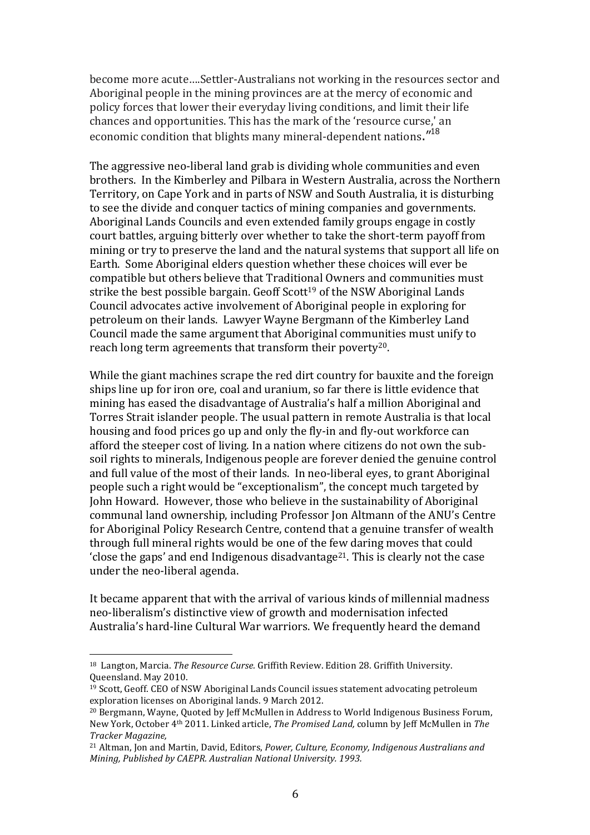become more acute....Settler-Australians not working in the resources sector and Aboriginal people in the mining provinces are at the mercy of economic and policy forces that lower their everyday living conditions, and limit their life chances and opportunities. This has the mark of the 'resource curse,' an economic condition that blights many mineral-dependent nations."<sup>18</sup>

The aggressive neo-liberal land grab is dividing whole communities and even brothers. In the Kimberley and Pilbara in Western Australia, across the Northern Territory, on Cape York and in parts of NSW and South Australia, it is disturbing to see the divide and conquer tactics of mining companies and governments. Aboriginal Lands Councils and even extended family groups engage in costly court battles, arguing bitterly over whether to take the short-term payoff from mining or try to preserve the land and the natural systems that support all life on Earth. Some Aboriginal elders question whether these choices will ever be compatible but others believe that Traditional Owners and communities must strike the best possible bargain. Geoff Scott<sup>19</sup> of the NSW Aboriginal Lands Council advocates active involvement of Aboriginal people in exploring for petroleum on their lands. Lawyer Wayne Bergmann of the Kimberley Land Council made the same argument that Aboriginal communities must unify to reach long term agreements that transform their poverty<sup>20</sup>.

While the giant machines scrape the red dirt country for bauxite and the foreign ships line up for iron ore, coal and uranium, so far there is little evidence that mining has eased the disadvantage of Australia's half a million Aboriginal and Torres Strait islander people. The usual pattern in remote Australia is that local housing and food prices go up and only the fly-in and fly-out workforce can afford the steeper cost of living. In a nation where citizens do not own the subsoil rights to minerals, Indigenous people are forever denied the genuine control and full value of the most of their lands. In neo-liberal eyes, to grant Aboriginal people such a right would be "exceptionalism", the concept much targeted by John Howard. However, those who believe in the sustainability of Aboriginal communal land ownership, including Professor Jon Altmann of the ANU's Centre for Aboriginal Policy Research Centre, contend that a genuine transfer of wealth through full mineral rights would be one of the few daring moves that could 'close the gaps' and end Indigenous disadvantage<sup>21</sup>. This is clearly not the case under the neo-liberal agenda.

It became apparent that with the arrival of various kinds of millennial madness neo-liberalism's distinctive view of growth and modernisation infected Australia's hard-line Cultural War warriors. We frequently heard the demand

<sup>&</sup>lt;sup>18</sup> Langton, Marcia. *The Resource Curse.* Griffith Review. Edition 28. Griffith University. Oueensland. May 2010.

 $19$  Scott, Geoff. CEO of NSW Aboriginal Lands Council issues statement advocating petroleum exploration licenses on Aboriginal lands. 9 March 2012.

<sup>&</sup>lt;sup>20</sup> Bergmann, Wayne, Quoted by Jeff McMullen in Address to World Indigenous Business Forum, New York, October 4<sup>th</sup> 2011. Linked article, *The Promised Land, column by Jeff McMullen in The Tracker"Magazine,*

<sup>&</sup>lt;sup>21</sup> Altman, Jon and Martin, David, Editors, *Power, Culture, Economy, Indigenous Australians and Mining, Published by CAEPR. Australian National University. 1993.*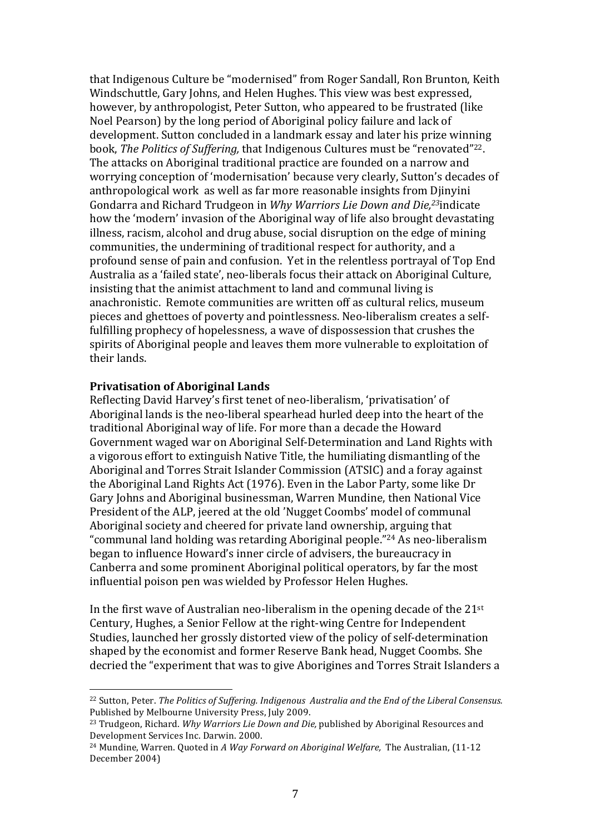that Indigenous Culture be "modernised" from Roger Sandall, Ron Brunton, Keith Windschuttle, Gary Johns, and Helen Hughes. This view was best expressed, however, by anthropologist, Peter Sutton, who appeared to be frustrated (like Noel Pearson) by the long period of Aboriginal policy failure and lack of development. Sutton concluded in a landmark essay and later his prize winning book, *The Politics of Suffering*, that Indigenous Cultures must be "renovated"<sup>22</sup>. The attacks on Aboriginal traditional practice are founded on a narrow and worrying conception of 'modernisation' because very clearly, Sutton's decades of anthropological work as well as far more reasonable insights from Djinyini Gondarra and Richard Trudgeon in *Why Warriors Lie Down and Die*,<sup>23</sup>indicate how the 'modern' invasion of the Aboriginal way of life also brought devastating illness, racism, alcohol and drug abuse, social disruption on the edge of mining communities, the undermining of traditional respect for authority, and a profound sense of pain and confusion. Yet in the relentless portrayal of Top End Australia as a 'failed state', neo-liberals focus their attack on Aboriginal Culture, insisting that the animist attachment to land and communal living is anachronistic. Remote communities are written off as cultural relics, museum pieces and ghettoes of poverty and pointlessness. Neo-liberalism creates a selffulfilling prophecy of hopelessness, a wave of dispossession that crushes the spirits of Aboriginal people and leaves them more vulnerable to exploitation of their lands.

#### **Privatisation of Aboriginal Lands**

!!!!!!!!!!!!!!!!!!!!!!!!!!!!!!!!!!!!!!!!!!!!!!!!!!!!!!!

Reflecting David Harvey's first tenet of neo-liberalism, 'privatisation' of Aboriginal lands is the neo-liberal spearhead hurled deep into the heart of the traditional Aboriginal way of life. For more than a decade the Howard Government waged war on Aboriginal Self-Determination and Land Rights with a vigorous effort to extinguish Native Title, the humiliating dismantling of the Aboriginal and Torres Strait Islander Commission (ATSIC) and a foray against the Aboriginal Land Rights Act (1976). Even in the Labor Party, some like Dr Gary Johns and Aboriginal businessman, Warren Mundine, then National Vice President of the ALP, jeered at the old 'Nugget Coombs' model of communal Aboriginal society and cheered for private land ownership, arguing that "communal land holding was retarding Aboriginal people."<sup>24</sup> As neo-liberalism began to influence Howard's inner circle of advisers, the bureaucracy in Canberra and some prominent Aboriginal political operators, by far the most influential poison pen was wielded by Professor Helen Hughes.

In the first wave of Australian neo-liberalism in the opening decade of the  $21<sup>st</sup>$ Century, Hughes, a Senior Fellow at the right-wing Centre for Independent Studies, launched her grossly distorted view of the policy of self-determination shaped by the economist and former Reserve Bank head, Nugget Coombs. She decried the "experiment that was to give Aborigines and Torres Strait Islanders a

<sup>&</sup>lt;sup>22</sup> Sutton, Peter. *The Politics of Suffering. Indigenous Australia and the End of the Liberal Consensus.* Published by Melbourne University Press, July 2009.

<sup>&</sup>lt;sup>23</sup> Trudgeon, Richard. *Why Warriors Lie Down and Die*, published by Aboriginal Resources and Development Services Inc. Darwin. 2000.

<sup>&</sup>lt;sup>24</sup> Mundine, Warren. Quoted in *A Way Forward on Aboriginal Welfare*, The Australian, (11-12) December 2004)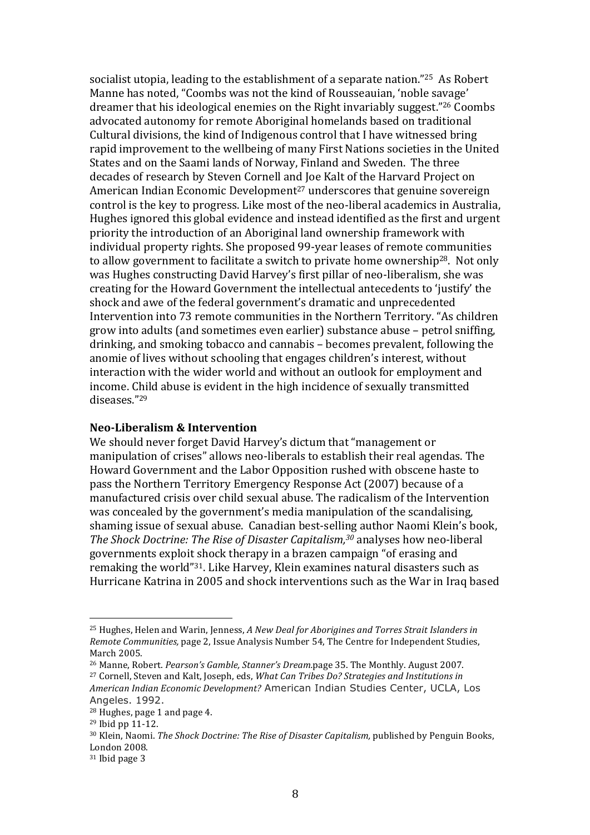socialist utopia, leading to the establishment of a separate nation."25 As Robert Manne has noted, "Coombs was not the kind of Rousseauian, 'noble savage' dreamer that his ideological enemies on the Right invariably suggest."26 Coombs advocated autonomy for remote Aboriginal homelands based on traditional Cultural divisions, the kind of Indigenous control that I have witnessed bring rapid improvement to the wellbeing of many First Nations societies in the United States and on the Saami lands of Norway, Finland and Sweden. The three decades of research by Steven Cornell and Joe Kalt of the Harvard Project on American Indian Economic Development<sup>27</sup> underscores that genuine sovereign control is the key to progress. Like most of the neo-liberal academics in Australia, Hughes ignored this global evidence and instead identified as the first and urgent priority the introduction of an Aboriginal land ownership framework with individual property rights. She proposed 99-year leases of remote communities to allow government to facilitate a switch to private home ownership<sup>28</sup>. Not only was Hughes constructing David Harvey's first pillar of neo-liberalism, she was creating for the Howard Government the intellectual antecedents to 'justify' the shock and awe of the federal government's dramatic and unprecedented Intervention into 73 remote communities in the Northern Territory. "As children grow into adults (and sometimes even earlier) substance abuse – petrol sniffing, drinking, and smoking tobacco and cannabis - becomes prevalent, following the anomie of lives without schooling that engages children's interest, without interaction with the wider world and without an outlook for employment and income. Child abuse is evident in the high incidence of sexually transmitted  $d$ iseases  $"^{29}$ 

### **Neo-Liberalism & Intervention**

We should never forget David Harvey's dictum that "management or manipulation of crises" allows neo-liberals to establish their real agendas. The Howard Government and the Labor Opposition rushed with obscene haste to pass the Northern Territory Emergency Response Act (2007) because of a manufactured crisis over child sexual abuse. The radicalism of the Intervention was concealed by the government's media manipulation of the scandalising. shaming issue of sexual abuse. Canadian best-selling author Naomi Klein's book, The Shock Doctrine: The Rise of Disaster Capitalism,<sup>30</sup> analyses how neo-liberal governments exploit shock therapy in a brazen campaign "of erasing and remaking the world"<sup>31</sup>. Like Harvey, Klein examines natural disasters such as Hurricane Katrina in 2005 and shock interventions such as the War in Iraq based

American Indian Economic Development? American Indian Studies Center, UCLA, Los Angeles. 1992.

<sup>&</sup>lt;sup>25</sup> Hughes, Helen and Warin, Jenness, A New Deal for Aboriaines and Torres Strait Islanders in Remote Communities, page 2, Issue Analysis Number 54, The Centre for Independent Studies, March 2005.

<sup>&</sup>lt;sup>26</sup> Manne, Robert. *Pearson's Gamble, Stanner's Dream.page* 35. The Monthly. August 2007. <sup>27</sup> Cornell, Steven and Kalt, Joseph, eds, *What Can Tribes Do? Strategies and Institutions in* 

<sup>&</sup>lt;sup>28</sup> Hughes, page 1 and page 4.

<sup>&</sup>lt;sup>29</sup> Ibid pp 11-12.

<sup>&</sup>lt;sup>30</sup> Klein, Naomi. The Shock Doctrine: The Rise of Disaster Capitalism, published by Penguin Books, London 2008.

 $31$  Ibid page 3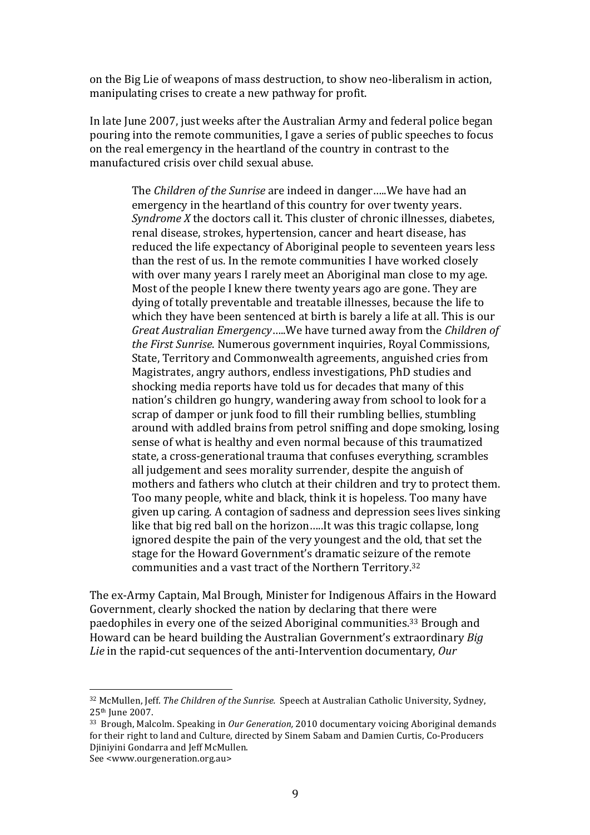on the Big Lie of weapons of mass destruction, to show neo-liberalism in action, manipulating crises to create a new pathway for profit.

In late June 2007, just weeks after the Australian Army and federal police began pouring into the remote communities, I gave a series of public speeches to focus on the real emergency in the heartland of the country in contrast to the manufactured crisis over child sexual abuse.

> The *Children of the Sunrise* are indeed in danger.....We have had an emergency in the heartland of this country for over twenty years. *Syndrome X* the doctors call it. This cluster of chronic illnesses, diabetes, renal disease, strokes, hypertension, cancer and heart disease, has reduced the life expectancy of Aboriginal people to seventeen years less than the rest of us. In the remote communities I have worked closely with over many years I rarely meet an Aboriginal man close to my age. Most of the people I knew there twenty years ago are gone. They are dying of totally preventable and treatable illnesses, because the life to which they have been sentenced at birth is barely a life at all. This is our *Great Australian Emergency*.....We have turned away from the *Children of the First Sunrise*. Numerous government inquiries, Royal Commissions, State, Territory and Commonwealth agreements, anguished cries from Magistrates, angry authors, endless investigations, PhD studies and shocking media reports have told us for decades that many of this nation's children go hungry, wandering away from school to look for a scrap of damper or junk food to fill their rumbling bellies, stumbling around with addled brains from petrol sniffing and dope smoking, losing sense of what is healthy and even normal because of this traumatized state, a cross-generational trauma that confuses everything, scrambles all judgement and sees morality surrender, despite the anguish of mothers and fathers who clutch at their children and try to protect them. Too many people, white and black, think it is hopeless. Too many have given up caring. A contagion of sadness and depression sees lives sinking like that big red ball on the horizon.....It was this tragic collapse, long ignored despite the pain of the very youngest and the old, that set the stage for the Howard Government's dramatic seizure of the remote communities and a vast tract of the Northern Territory.<sup>32</sup>

The ex-Army Captain, Mal Brough, Minister for Indigenous Affairs in the Howard Government, clearly shocked the nation by declaring that there were paedophiles in every one of the seized Aboriginal communities.<sup>33</sup> Brough and Howard can be heard building the Australian Government's extraordinary *Big Lie* in the rapid-cut sequences of the anti-Intervention documentary, Our

<sup>&</sup>lt;sup>32</sup> McMullen, Jeff. *The Children of the Sunrise.* Speech at Australian Catholic University, Sydney, 25<sup>th</sup> June 2007.

<sup>&</sup>lt;sup>33</sup> Brough, Malcolm. Speaking in *Our Generation*, 2010 documentary voicing Aboriginal demands for their right to land and Culture, directed by Sinem Sabam and Damien Curtis, Co-Producers Djiniyini Gondarra and Jeff McMullen.

See <www.ourgeneration.org.au>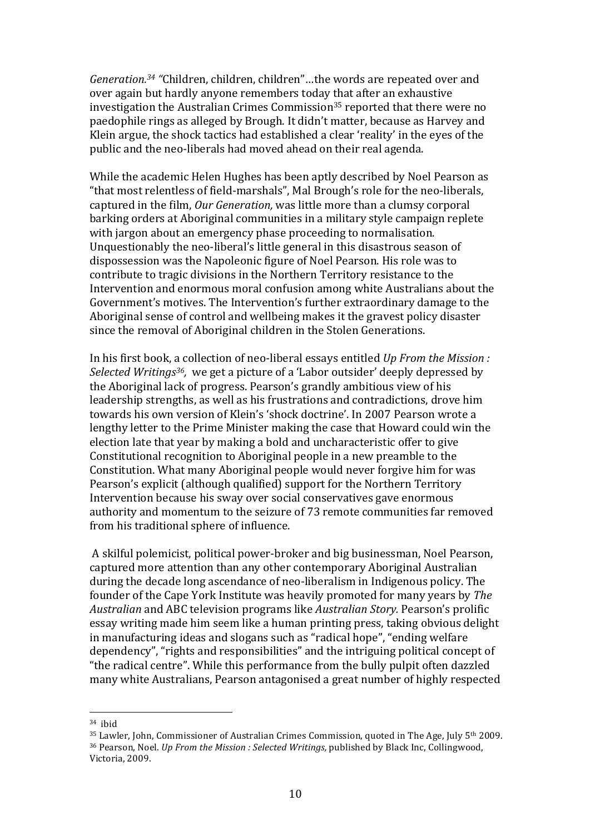*Generation.<sup>34</sup>* "Children, children, children"...the words are repeated over and over again but hardly anyone remembers today that after an exhaustive investigation the Australian Crimes Commission<sup>35</sup> reported that there were no paedophile rings as alleged by Brough. It didn't matter, because as Harvey and Klein argue, the shock tactics had established a clear 'reality' in the eyes of the public and the neo-liberals had moved ahead on their real agenda.

While the academic Helen Hughes has been aptly described by Noel Pearson as "that most relentless of field-marshals", Mal Brough's role for the neo-liberals, captured in the film, *Our Generation*, was little more than a clumsy corporal barking orders at Aboriginal communities in a military style campaign replete with jargon about an emergency phase proceeding to normalisation. Unquestionably the neo-liberal's little general in this disastrous season of dispossession was the Napoleonic figure of Noel Pearson. His role was to contribute to tragic divisions in the Northern Territory resistance to the Intervention and enormous moral confusion among white Australians about the Government's motives. The Intervention's further extraordinary damage to the Aboriginal sense of control and wellbeing makes it the gravest policy disaster since the removal of Aboriginal children in the Stolen Generations.

In his first book, a collection of neo-liberal essays entitled *Up From the Mission : Selected Writings<sup>36</sup>, we get a picture of a 'Labor outsider' deeply depressed by* the Aboriginal lack of progress. Pearson's grandly ambitious view of his leadership strengths, as well as his frustrations and contradictions, drove him towards his own version of Klein's 'shock doctrine'. In 2007 Pearson wrote a lengthy letter to the Prime Minister making the case that Howard could win the election late that year by making a bold and uncharacteristic offer to give Constitutional recognition to Aboriginal people in a new preamble to the Constitution. What many Aboriginal people would never forgive him for was Pearson's explicit (although qualified) support for the Northern Territory Intervention because his sway over social conservatives gave enormous authority and momentum to the seizure of 73 remote communities far removed from his traditional sphere of influence.

A skilful polemicist, political power-broker and big businessman, Noel Pearson, captured more attention than any other contemporary Aboriginal Australian during the decade long ascendance of neo-liberalism in Indigenous policy. The founder of the Cape York Institute was heavily promoted for many years by *The Australian* and ABC television programs like *Australian Story.* Pearson's prolific essay writing made him seem like a human printing press, taking obvious delight in manufacturing ideas and slogans such as "radical hope", "ending welfare dependency", "rights and responsibilities" and the intriguing political concept of "the radical centre". While this performance from the bully pulpit often dazzled many white Australians, Pearson antagonised a great number of highly respected

 $34$  ihid

 $35$  Lawler, John, Commissioner of Australian Crimes Commission, quoted in The Age, July  $5<sup>th</sup> 2009$ . <sup>36</sup> Pearson, Noel. *Up From the Mission : Selected Writings, published by Black Inc, Collingwood,* Victoria, 2009.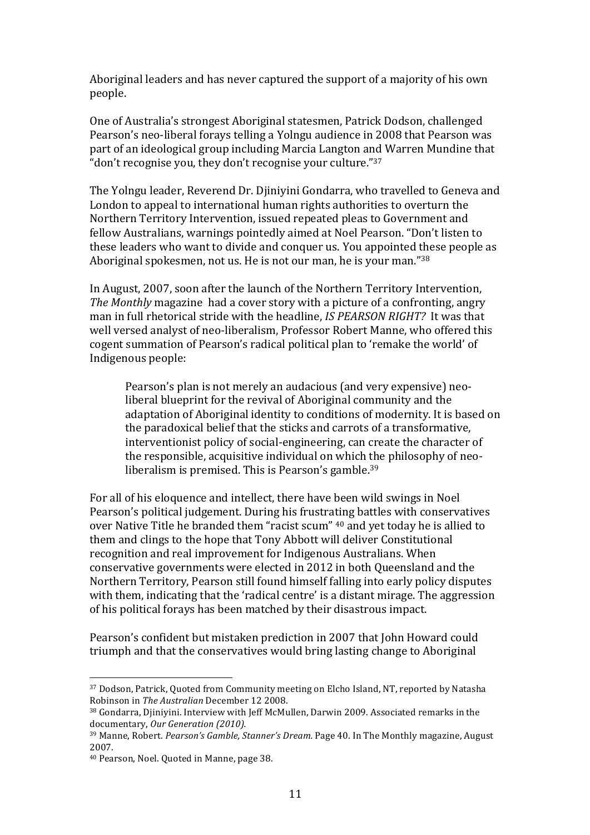Aboriginal leaders and has never captured the support of a majority of his own people.

One of Australia's strongest Aboriginal statesmen, Patrick Dodson, challenged Pearson's neo-liberal forays telling a Yolngu audience in 2008 that Pearson was part of an ideological group including Marcia Langton and Warren Mundine that "don't recognise you, they don't recognise your culture."<sup>37</sup>

The Yolngu leader, Reverend Dr. Djiniyini Gondarra, who travelled to Geneva and London to appeal to international human rights authorities to overturn the Northern Territory Intervention, issued repeated pleas to Government and fellow Australians, warnings pointedly aimed at Noel Pearson. "Don't listen to these leaders who want to divide and conquer us. You appointed these people as Aboriginal spokesmen, not us. He is not our man, he is your man." $38$ 

In August, 2007, soon after the launch of the Northern Territory Intervention, *The Monthly* magazine had a cover story with a picture of a confronting, angry man in full rhetorical stride with the headline, *IS PEARSON RIGHT?* It was that well versed analyst of neo-liberalism, Professor Robert Manne, who offered this cogent summation of Pearson's radical political plan to 'remake the world' of Indigenous people:

Pearson's plan is not merely an audacious (and very expensive) neoliberal blueprint for the revival of Aboriginal community and the adaptation of Aboriginal identity to conditions of modernity. It is based on the paradoxical belief that the sticks and carrots of a transformative, interventionist policy of social-engineering, can create the character of the responsible, acquisitive individual on which the philosophy of neoliberalism is premised. This is Pearson's gamble.<sup>39</sup>

For all of his eloquence and intellect, there have been wild swings in Noel Pearson's political judgement. During his frustrating battles with conservatives over Native Title he branded them "racist scum" <sup>40</sup> and yet today he is allied to them and clings to the hope that Tony Abbott will deliver Constitutional recognition and real improvement for Indigenous Australians. When conservative governments were elected in 2012 in both Queensland and the Northern Territory, Pearson still found himself falling into early policy disputes with them, indicating that the 'radical centre' is a distant mirage. The aggression of his political forays has been matched by their disastrous impact.

Pearson's confident but mistaken prediction in 2007 that John Howard could triumph and that the conservatives would bring lasting change to Aboriginal

<sup>&</sup>lt;sup>37</sup> Dodson, Patrick, Quoted from Community meeting on Elcho Island, NT, reported by Natasha Robinson in *The Australian* December 12 2008.

<sup>38</sup> Gondarra, Djiniyini. Interview with Jeff McMullen, Darwin 2009. Associated remarks in the documentary, Our Generation (2010).

<sup>&</sup>lt;sup>39</sup> Manne, Robert. *Pearson's Gamble, Stanner's Dream*. Page 40. In The Monthly magazine, August 2007.

<sup>40</sup> Pearson, Noel. Quoted in Manne, page 38.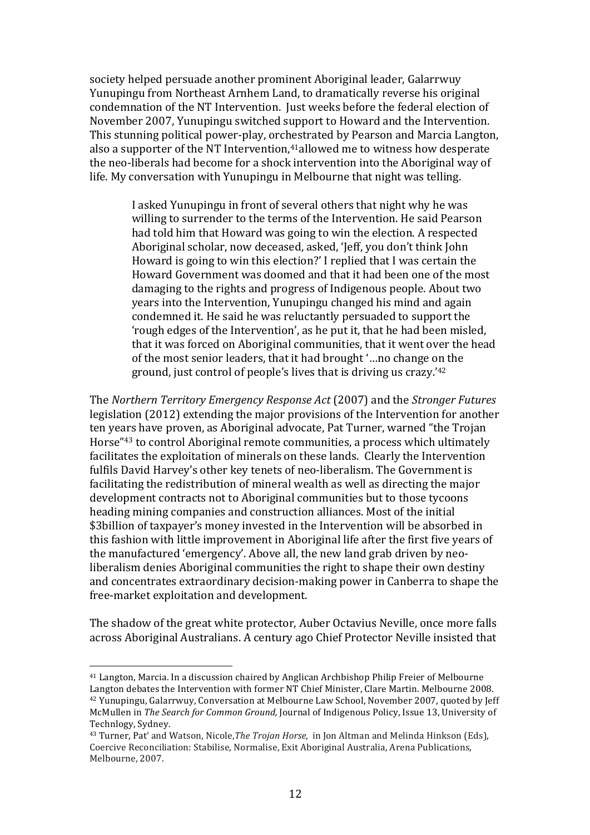society helped persuade another prominent Aboriginal leader, Galarrwuy Yunupingu from Northeast Arnhem Land, to dramatically reverse his original condemnation of the NT Intervention. Just weeks before the federal election of November 2007, Yunupingu switched support to Howard and the Intervention. This stunning political power-play, orchestrated by Pearson and Marcia Langton, also a supporter of the NT Intervention,<sup>41</sup> allowed me to witness how desperate the neo-liberals had become for a shock intervention into the Aboriginal way of life. My conversation with Yunupingu in Melbourne that night was telling.

> I asked Yunupingu in front of several others that night why he was willing to surrender to the terms of the Intervention. He said Pearson had told him that Howard was going to win the election. A respected Aboriginal scholar, now deceased, asked, 'Jeff, you don't think John Howard is going to win this election?' I replied that I was certain the Howard Government was doomed and that it had been one of the most damaging to the rights and progress of Indigenous people. About two years into the Intervention, Yunupingu changed his mind and again condemned it. He said he was reluctantly persuaded to support the 'rough edges of the Intervention', as he put it, that he had been misled, that it was forced on Aboriginal communities, that it went over the head of the most senior leaders, that it had brought '...no change on the ground, just control of people's lives that is driving us crazy.'42

The Northern Territory Emergency Response Act (2007) and the Stronger Futures legislation (2012) extending the major provisions of the Intervention for another ten years have proven, as Aboriginal advocate, Pat Turner, warned "the Trojan Horse"<sup>43</sup> to control Aboriginal remote communities, a process which ultimately facilitates the exploitation of minerals on these lands. Clearly the Intervention fulfils David Harvey's other key tenets of neo-liberalism. The Government is facilitating the redistribution of mineral wealth as well as directing the major development contracts not to Aboriginal communities but to those tycoons heading mining companies and construction alliances. Most of the initial \$3billion of taxpayer's money invested in the Intervention will be absorbed in this fashion with little improvement in Aboriginal life after the first five years of the manufactured 'emergency'. Above all, the new land grab driven by neoliberalism denies Aboriginal communities the right to shape their own destiny and concentrates extraordinary decision-making power in Canberra to shape the free-market exploitation and development.

The shadow of the great white protector, Auber Octavius Neville, once more falls across Aboriginal Australians. A century ago Chief Protector Neville insisted that

<sup>&</sup>lt;sup>41</sup> Langton, Marcia. In a discussion chaired by Anglican Archbishop Philip Freier of Melbourne Langton debates the Intervention with former NT Chief Minister, Clare Martin. Melbourne 2008. <sup>42</sup> Yunupingu, Galarrwuy, Conversation at Melbourne Law School, November 2007, quoted by Jeff McMullen in The Search for Common Ground, Journal of Indigenous Policy, Issue 13, University of Technlogy, Sydney.

<sup>&</sup>lt;sup>43</sup> Turner, Pat' and Watson, Nicole, The Trojan Horse, in Jon Altman and Melinda Hinkson (Eds), Coercive Reconciliation: Stabilise, Normalise, Exit Aboriginal Australia, Arena Publications, Melbourne, 2007.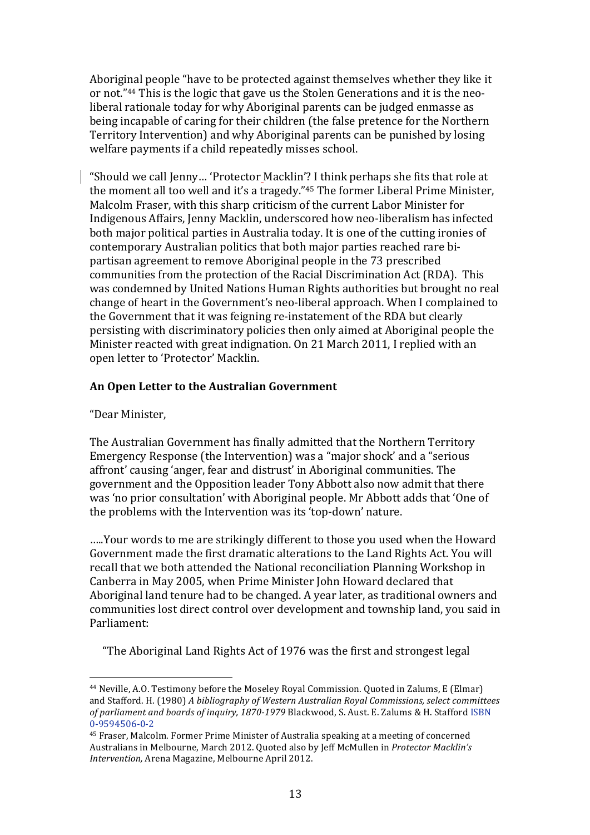Aboriginal people "have to be protected against themselves whether they like it or not."<sup>44</sup> This is the logic that gave us the Stolen Generations and it is the neoliberal rationale today for why Aboriginal parents can be judged enmasse as being incapable of caring for their children (the false pretence for the Northern Territory Intervention) and why Aboriginal parents can be punished by losing welfare payments if a child repeatedly misses school.

"Should we call Jenny... 'Protector Macklin'? I think perhaps she fits that role at the moment all too well and it's a tragedy."45 The former Liberal Prime Minister, Malcolm Fraser, with this sharp criticism of the current Labor Minister for Indigenous Affairs, Jenny Macklin, underscored how neo-liberalism has infected both major political parties in Australia today. It is one of the cutting ironies of contemporary Australian politics that both major parties reached rare bipartisan agreement to remove Aboriginal people in the 73 prescribed communities from the protection of the Racial Discrimination Act (RDA). This was condemned by United Nations Human Rights authorities but brought no real change of heart in the Government's neo-liberal approach. When I complained to the Government that it was feigning re-instatement of the RDA but clearly persisting with discriminatory policies then only aimed at Aboriginal people the Minister reacted with great indignation. On 21 March 2011, I replied with an open letter to 'Protector' Macklin.

# An Open Letter to the Australian Government

"Dear Minister.

The Australian Government has finally admitted that the Northern Territory Emergency Response (the Intervention) was a "major shock' and a "serious affront' causing 'anger, fear and distrust' in Aboriginal communities. The government and the Opposition leader Tony Abbott also now admit that there was 'no prior consultation' with Aboriginal people. Mr Abbott adds that 'One of the problems with the Intervention was its 'top-down' nature.

.....Your words to me are strikingly different to those you used when the Howard Government made the first dramatic alterations to the Land Rights Act. You will recall that we both attended the National reconciliation Planning Workshop in Canberra in May 2005, when Prime Minister John Howard declared that Aboriginal land tenure had to be changed. A year later, as traditional owners and communities lost direct control over development and township land, you said in Parliament:

"The Aboriginal Land Rights Act of 1976 was the first and strongest legal

<sup>&</sup>lt;sup>44</sup> Neville, A.O. Testimony before the Moseley Royal Commission. Quoted in Zalums, E (Elmar) and Stafford. H. (1980) A bibliography of Western Australian Royal Commissions, select committees of parliament and boards of inquiry, 1870-1979 Blackwood, S. Aust. E. Zalums & H. Stafford ISBN 0-9594506-0-2

<sup>&</sup>lt;sup>45</sup> Fraser, Malcolm. Former Prime Minister of Australia speaking at a meeting of concerned Australians in Melbourne, March 2012. Quoted also by Jeff McMullen in Protector Macklin's Intervention, Arena Magazine, Melbourne April 2012.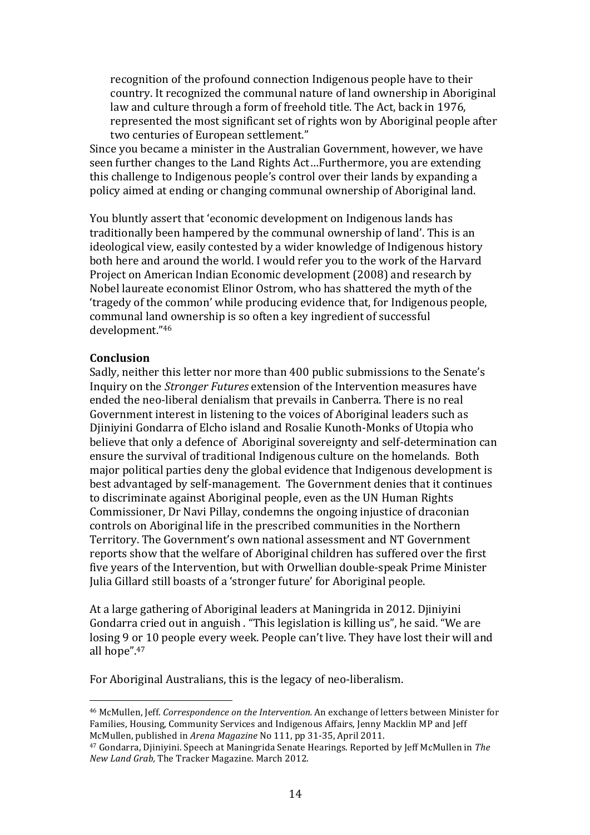recognition of the profound connection Indigenous people have to their country. It recognized the communal nature of land ownership in Aboriginal law and culture through a form of freehold title. The Act, back in 1976, represented the most significant set of rights won by Aboriginal people after two centuries of European settlement."

Since you became a minister in the Australian Government, however, we have seen further changes to the Land Rights Act...Furthermore, you are extending this challenge to Indigenous people's control over their lands by expanding a policy aimed at ending or changing communal ownership of Aboriginal land.

You bluntly assert that 'economic development on Indigenous lands has traditionally been hampered by the communal ownership of land'. This is an ideological view, easily contested by a wider knowledge of Indigenous history both here and around the world. I would refer you to the work of the Harvard Project on American Indian Economic development (2008) and research by Nobel laureate economist Elinor Ostrom, who has shattered the myth of the 'tragedy of the common' while producing evidence that, for Indigenous people, communal land ownership is so often a key ingredient of successful development."46

### **Conclusion**

Sadly, neither this letter nor more than 400 public submissions to the Senate's Inquiry on the *Stronger Futures* extension of the Intervention measures have ended the neo-liberal denialism that prevails in Canberra. There is no real Government interest in listening to the voices of Aboriginal leaders such as Djiniyini Gondarra of Elcho island and Rosalie Kunoth-Monks of Utopia who believe that only a defence of Aboriginal sovereignty and self-determination can ensure the survival of traditional Indigenous culture on the homelands. Both major political parties deny the global evidence that Indigenous development is best advantaged by self-management. The Government denies that it continues to discriminate against Aboriginal people, even as the UN Human Rights Commissioner, Dr Navi Pillay, condemns the ongoing injustice of draconian controls on Aboriginal life in the prescribed communities in the Northern Territory. The Government's own national assessment and NT Government reports show that the welfare of Aboriginal children has suffered over the first five years of the Intervention, but with Orwellian double-speak Prime Minister Julia Gillard still boasts of a 'stronger future' for Aboriginal people.

At a large gathering of Aboriginal leaders at Maningrida in 2012. Djiniyini Gondarra cried out in anguish. "This legislation is killing us", he said. "We are losing 9 or 10 people every week. People can't live. They have lost their will and all hope".47

For Aboriginal Australians, this is the legacy of neo-liberalism.

<sup>&</sup>lt;sup>46</sup> McMullen, Jeff. *Correspondence on the Intervention*. An exchange of letters between Minister for Families. Housing, Community Services and Indigenous Affairs, Jenny Macklin MP and Jeff McMullen, published in *Arena Magazine* No 111, pp 31-35, April 2011.

<sup>&</sup>lt;sup>47</sup> Gondarra, Djiniyini. Speech at Maningrida Senate Hearings. Reported by Jeff McMullen in *The New Land Grab, The Tracker Magazine. March 2012.*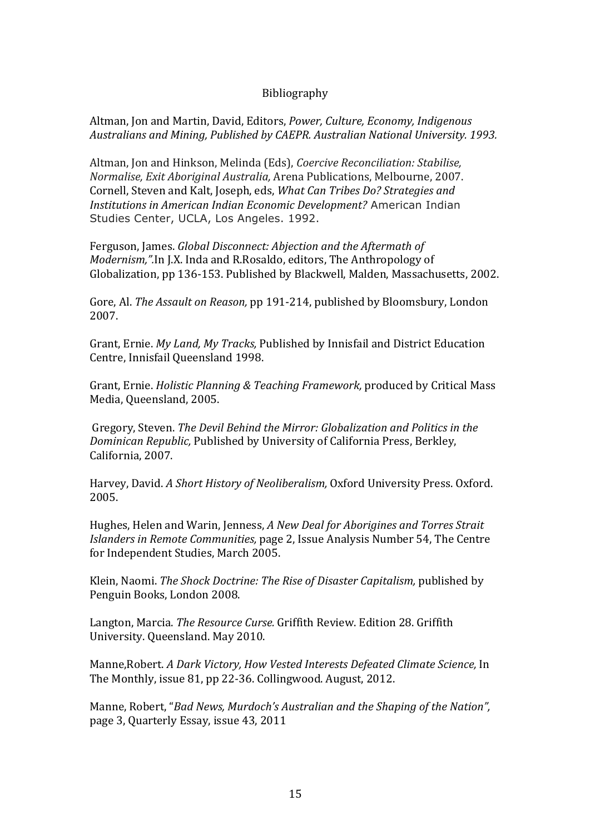### Bibliography

Altman, Jon and Martin, David, Editors, *Power, Culture, Economy, Indigenous Australians"and"Mining, Published"by"CAEPR."Australian"National"University."1993.*

Altman, Jon and Hinkson, Melinda (Eds), *Coercive Reconciliation: Stabilise*, *Normalise, Exit Aboriginal Australia, Arena Publications, Melbourne, 2007.* Cornell, Steven and Kalt, Joseph, eds, *What Can Tribes Do? Strategies and Institutions"in"American"Indian"Economic"Development?* American Indian Studies Center, UCLA, Los Angeles. 1992.

Ferguson, James. *Global Disconnect: Abjection and the Aftermath of Modernism,".In J.X. Inda and R.Rosaldo, editors, The Anthropology of* Globalization, pp 136-153. Published by Blackwell, Malden, Massachusetts, 2002.

Gore, Al. The Assault on Reason, pp 191-214, published by Bloomsbury, London 2007.

Grant, Ernie. *My Land, My Tracks*, Published by Innisfail and District Education Centre, Innisfail Queensland 1998.

Grant, Ernie. *Holistic Planning & Teaching Framework*, produced by Critical Mass Media, Queensland, 2005.

Gregory, Steven. The Devil Behind the Mirror: Globalization and Politics in the *Dominican Republic, Published by University of California Press, Berkley,* California, 2007.

Harvey, David. *A Short History of Neoliberalism*, Oxford University Press. Oxford. 2005.

Hughes, Helen and Warin, Jenness, A New Deal for Aborigines and Torres Strait *Islanders in Remote Communities, page 2, Issue Analysis Number 54, The Centre* for Independent Studies, March 2005.

Klein, Naomi. *The Shock Doctrine: The Rise of Disaster Capitalism, published by* Penguin Books, London 2008.

Langton, Marcia. *The Resource Curse.* Griffith Review. Edition 28. Griffith University. Queensland. May 2010.

Manne, Robert. *A Dark Victory, How Vested Interests Defeated Climate Science*, In The Monthly, issue 81, pp 22-36. Collingwood. August, 2012.

Manne, Robert, "*Bad News, Murdoch's Australian and the Shaping of the Nation",* page 3, Quarterly Essay, issue 43, 2011